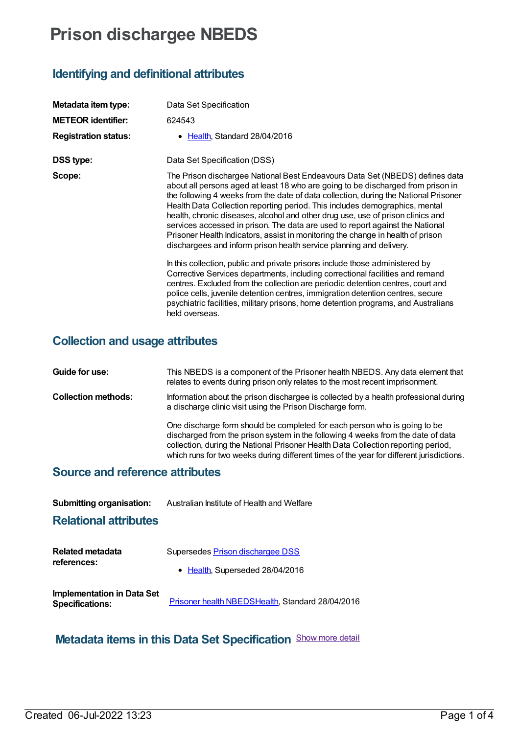# **Prison dischargee NBEDS**

## **Identifying and definitional attributes**

| Metadata item type:         | Data Set Specification                                                                                                                                                                                                                                                                                                                                                                                                                                                                                                                                                                                                                                                |
|-----------------------------|-----------------------------------------------------------------------------------------------------------------------------------------------------------------------------------------------------------------------------------------------------------------------------------------------------------------------------------------------------------------------------------------------------------------------------------------------------------------------------------------------------------------------------------------------------------------------------------------------------------------------------------------------------------------------|
| <b>METEOR identifier:</b>   | 624543                                                                                                                                                                                                                                                                                                                                                                                                                                                                                                                                                                                                                                                                |
| <b>Registration status:</b> | Health, Standard 28/04/2016                                                                                                                                                                                                                                                                                                                                                                                                                                                                                                                                                                                                                                           |
| <b>DSS type:</b>            | Data Set Specification (DSS)                                                                                                                                                                                                                                                                                                                                                                                                                                                                                                                                                                                                                                          |
| Scope:                      | The Prison dischargee National Best Endeavours Data Set (NBEDS) defines data<br>about all persons aged at least 18 who are going to be discharged from prison in<br>the following 4 weeks from the date of data collection, during the National Prisoner<br>Health Data Collection reporting period. This includes demographics, mental<br>health, chronic diseases, alcohol and other drug use, use of prison clinics and<br>services accessed in prison. The data are used to report against the National<br>Prisoner Health Indicators, assist in monitoring the change in health of prison<br>dischargees and inform prison health service planning and delivery. |
|                             | In this collection, public and private prisons include those administered by<br>Corrective Services departments, including correctional facilities and remand<br>centres. Excluded from the collection are periodic detention centres, court and<br>police cells, juvenile detention centres, immigration detention centres, secure<br>psychiatric facilities, military prisons, home detention programs, and Australians<br>held overseas.                                                                                                                                                                                                                           |

## **Collection and usage attributes**

| Guide for use:             | This NBEDS is a component of the Prisoner health NBEDS. Any data element that<br>relates to events during prison only relates to the most recent imprisonment.                                                                                                                                                                                 |
|----------------------------|------------------------------------------------------------------------------------------------------------------------------------------------------------------------------------------------------------------------------------------------------------------------------------------------------------------------------------------------|
| <b>Collection methods:</b> | Information about the prison dischargee is collected by a health professional during<br>a discharge clinic visit using the Prison Discharge form.                                                                                                                                                                                              |
|                            | One discharge form should be completed for each person who is going to be<br>discharged from the prison system in the following 4 weeks from the date of data<br>collection, during the National Prisoner Health Data Collection reporting period,<br>which runs for two weeks during different times of the year for different jurisdictions. |
|                            |                                                                                                                                                                                                                                                                                                                                                |

#### **Source and reference attributes**

| <b>Submitting organisation:</b> | Australian Institute of Health and Welfare |
|---------------------------------|--------------------------------------------|
|---------------------------------|--------------------------------------------|

#### **Relational attributes**

| Related metadata<br>references:                             | Supersedes Prison dischargee DSS                 |
|-------------------------------------------------------------|--------------------------------------------------|
|                                                             | • Health, Superseded 28/04/2016                  |
| <b>Implementation in Data Set</b><br><b>Specifications:</b> | Prisoner health NBEDSHealth, Standard 28/04/2016 |

## **Metadata items in this Data Set Specification** Show more detail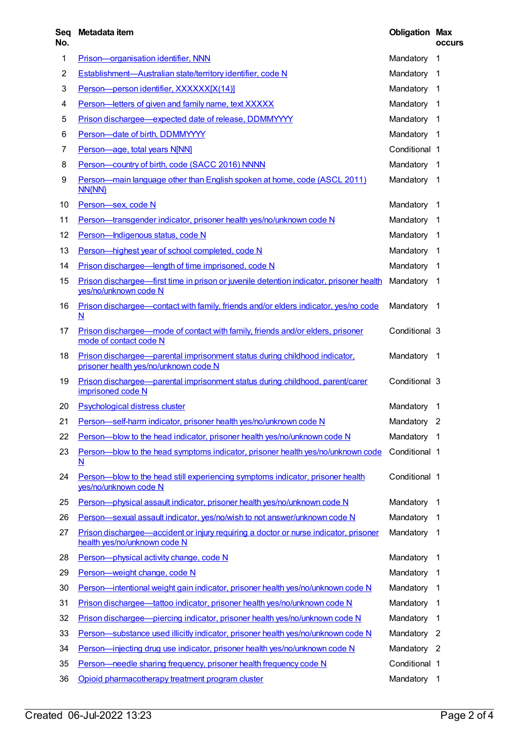| Seq<br>No.     | Metadata item                                                                                                        | <b>Obligation Max</b> | <b>OCCUIS</b>  |
|----------------|----------------------------------------------------------------------------------------------------------------------|-----------------------|----------------|
| 1              | Prison-organisation identifier, NNN                                                                                  | Mandatory             | 1              |
| $\overline{2}$ | Establishment-Australian state/territory identifier, code N                                                          | Mandatory             | -1             |
| 3              | Person-person identifier, XXXXXX[X(14)]                                                                              | Mandatory             | $\overline{1}$ |
| 4              | Person-letters of given and family name, text XXXXX                                                                  | Mandatory             | $\overline{1}$ |
| 5              | Prison dischargee-expected date of release, DDMMYYYY                                                                 | Mandatory 1           |                |
| 6              | Person-date of birth, DDMMYYYY                                                                                       | Mandatory             | $\overline{1}$ |
| 7              | Person-age, total years N[NN]                                                                                        | Conditional 1         |                |
| 8              | Person-country of birth, code (SACC 2016) NNNN                                                                       | Mandatory             | $\overline{1}$ |
| 9              | Person—main language other than English spoken at home, code (ASCL 2011)<br><b>NN{NN}</b>                            | Mandatory             | -1             |
| 10             | Person-sex, code N                                                                                                   | Mandatory             | $\overline{1}$ |
| 11             | Person-transgender indicator, prisoner health yes/no/unknown code N                                                  | Mandatory             | -1             |
| 12             | Person-Indigenous status, code N                                                                                     | Mandatory             | $\overline{1}$ |
| 13             | Person-highest year of school completed, code N                                                                      | Mandatory             | -1             |
| 14             | Prison dischargee—length of time imprisoned, code N                                                                  | Mandatory 1           |                |
| 15             | Prison dischargee—first time in prison or juvenile detention indicator, prisoner health<br>yes/no/unknown code N     | Mandatory             | $\overline{1}$ |
| 16             | Prison dischargee—contact with family, friends and/or elders indicator, yes/no code<br>$\overline{\mathbf{N}}$       | Mandatory             | $\overline{1}$ |
| 17             | Prison dischargee—mode of contact with family, friends and/or elders, prisoner<br>mode of contact code N             | Conditional 3         |                |
| 18             | Prison dischargee-parental imprisonment status during childhood indicator,<br>prisoner health yes/no/unknown code N  | Mandatory 1           |                |
| 19             | Prison dischargee-parental imprisonment status during childhood, parent/carer<br>imprisoned code N                   | Conditional 3         |                |
| 20             | <b>Psychological distress cluster</b>                                                                                | Mandatory             | -1             |
| 21             | Person-self-harm indicator, prisoner health yes/no/unknown code N                                                    | Mandatory 2           |                |
| 22             | Person-blow to the head indicator, prisoner health yes/no/unknown code N                                             | Mandatory             | -1             |
| 23             | Person-blow to the head symptoms indicator, prisoner health yes/no/unknown code<br>$\underline{\mathsf{N}}$          | Conditional 1         |                |
| 24             | Person-blow to the head still experiencing symptoms indicator, prisoner health<br>yes/no/unknown code N              | Conditional 1         |                |
| 25             | Person-physical assault indicator, prisoner health yes/no/unknown code N                                             | Mandatory             | $\overline{1}$ |
| 26             | Person-sexual assault indicator, yes/no/wish to not answer/unknown code N                                            | Mandatory             | $\mathbf 1$    |
| 27             | Prison dischargee—accident or injury requiring a doctor or nurse indicator, prisoner<br>health yes/no/unknown code N | Mandatory             | $\overline{1}$ |
| 28             | Person-physical activity change, code N                                                                              | Mandatory             | $\overline{1}$ |
| 29             | Person-weight change, code N                                                                                         | Mandatory             | -1             |
| 30             | Person—intentional weight gain indicator, prisoner health yes/no/unknown code N                                      | Mandatory             | -1             |
| 31             | Prison dischargee—tattoo indicator, prisoner health yes/no/unknown code N                                            | Mandatory             | $\overline{1}$ |
| 32             | Prison dischargee—piercing indicator, prisoner health yes/no/unknown code N                                          | Mandatory             | $\overline{1}$ |
| 33             | Person-substance used illicitly indicator, prisoner health yes/no/unknown code N                                     | Mandatory             | $\overline{2}$ |
| 34             | Person-injecting drug use indicator, prisoner health yes/no/unknown code N                                           | Mandatory 2           |                |
| 35             | Person-needle sharing frequency, prisoner health frequency code N                                                    | Conditional 1         |                |
| 36             | Opioid pharmacotherapy treatment program cluster                                                                     | Mandatory             | -1             |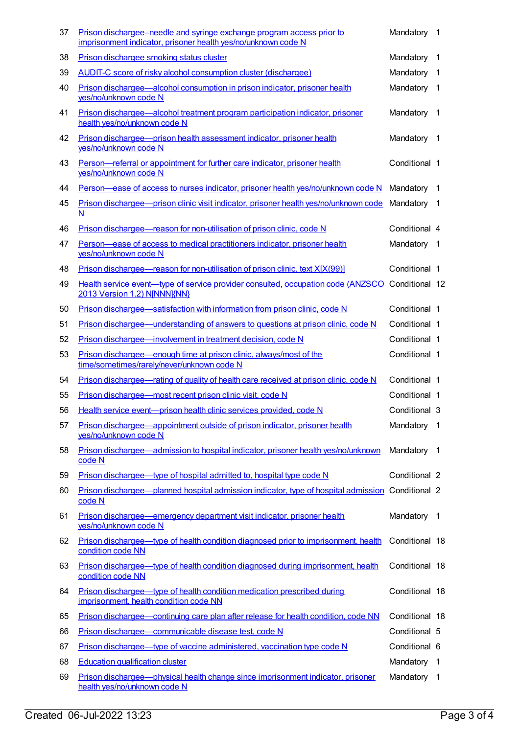| 37 | Prison dischargee–needle and syringe exchange program access prior to<br>imprisonment indicator, prisoner health yes/no/unknown code N | Mandatory      | $\overline{1}$ |
|----|----------------------------------------------------------------------------------------------------------------------------------------|----------------|----------------|
| 38 | Prison dischargee smoking status cluster                                                                                               | Mandatory      | -1             |
| 39 | AUDIT-C score of risky alcohol consumption cluster (dischargee)                                                                        | Mandatory      | $\overline{1}$ |
| 40 | Prison dischargee—alcohol consumption in prison indicator, prisoner health<br>yes/no/unknown code N                                    | Mandatory      | $\mathbf 1$    |
| 41 | Prison dischargee—alcohol treatment program participation indicator, prisoner<br>health yes/no/unknown code N                          | Mandatory      | 1              |
| 42 | Prison dischargee—prison health assessment indicator, prisoner health<br>yes/no/unknown code N                                         | Mandatory 1    |                |
| 43 | Person-referral or appointment for further care indicator, prisoner health<br>yes/no/unknown code N                                    | Conditional 1  |                |
| 44 | Person—ease of access to nurses indicator, prisoner health yes/no/unknown code N                                                       | Mandatory      | $\mathbf 1$    |
| 45 | Prison dischargee—prison clinic visit indicator, prisoner health yes/no/unknown code Mandatory<br>$\underline{\mathsf{N}}$             |                | - 1            |
| 46 | Prison dischargee—reason for non-utilisation of prison clinic, code N                                                                  | Conditional 4  |                |
| 47 | Person-ease of access to medical practitioners indicator, prisoner health<br>yes/no/unknown code N                                     | Mandatory      | -1             |
| 48 | Prison dischargee—reason for non-utilisation of prison clinic, text X[X(99)]                                                           | Conditional 1  |                |
| 49 | Health service event—type of service provider consulted, occupation code (ANZSCO Conditional 12<br>2013 Version 1.2) N[NNN]{NN}        |                |                |
| 50 | Prison dischargee—satisfaction with information from prison clinic, code N                                                             | Conditional 1  |                |
| 51 | Prison dischargee—understanding of answers to questions at prison clinic, code N                                                       | Conditional 1  |                |
| 52 | Prison dischargee-involvement in treatment decision, code N                                                                            | Conditional 1  |                |
| 53 | Prison dischargee—enough time at prison clinic, always/most of the<br>time/sometimes/rarely/never/unknown code N                       | Conditional 1  |                |
| 54 | Prison dischargee—rating of quality of health care received at prison clinic, code N                                                   | Conditional 1  |                |
| 55 | Prison dischargee—most recent prison clinic visit, code N                                                                              | Conditional 1  |                |
| 56 | Health service event-prison health clinic services provided, code N                                                                    | Conditional 3  |                |
| 57 | Prison dischargee—appointment outside of prison indicator, prisoner health<br>yes/no/unknown code N                                    | Mandatory      | $\overline{1}$ |
| 58 | Prison dischargee—admission to hospital indicator, prisoner health yes/no/unknown<br>code N                                            | Mandatory 1    |                |
| 59 | Prison dischargee-type of hospital admitted to, hospital type code N                                                                   | Conditional 2  |                |
| 60 | Prison dischargee—planned hospital admission indicator, type of hospital admission Conditional 2<br>code N                             |                |                |
| 61 | Prison dischargee—emergency department visit indicator, prisoner health<br>yes/no/unknown code N                                       | Mandatory      | -1             |
| 62 | Prison dischargee—type of health condition diagnosed prior to imprisonment, health<br>condition code NN                                | Conditional 18 |                |
| 63 | Prison dischargee—type of health condition diagnosed during imprisonment, health<br>condition code NN                                  | Conditional 18 |                |
| 64 | Prison dischargee—type of health condition medication prescribed during<br>imprisonment, health condition code NN                      | Conditional 18 |                |
| 65 | Prison dischargee—continuing care plan after release for health condition, code NN                                                     | Conditional 18 |                |
| 66 | Prison dischargee-communicable disease test, code N                                                                                    | Conditional 5  |                |
| 67 | Prison dischargee—type of vaccine administered, vaccination type code N                                                                | Conditional 6  |                |
| 68 | <b>Education qualification cluster</b>                                                                                                 | Mandatory      | 1              |
| 69 | Prison dischargee—physical health change since imprisonment indicator, prisoner<br>health yes/no/unknown code N                        | Mandatory 1    |                |